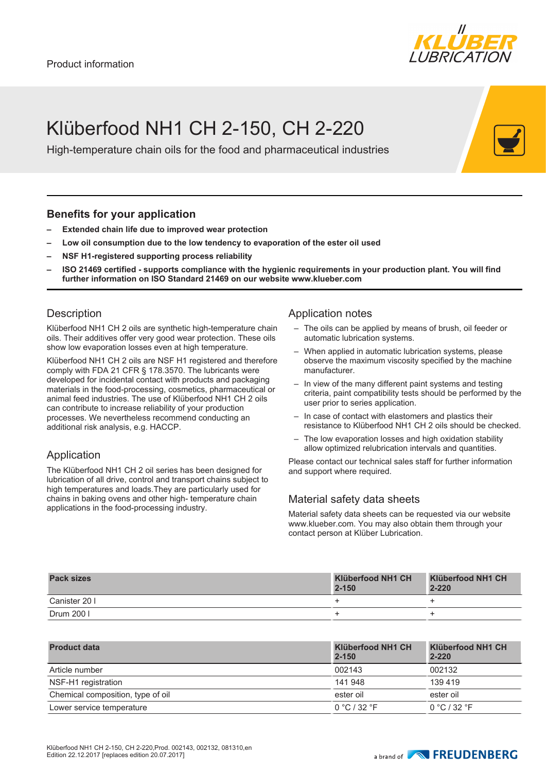

## Klüberfood NH1 CH 2-150, CH 2-220

High-temperature chain oils for the food and pharmaceutical industries

#### **Benefits for your application**

- **– Extended chain life due to improved wear protection**
- **– Low oil consumption due to the low tendency to evaporation of the ester oil used**
- **– NSF H1-registered supporting process reliability**
- **– ISO 21469 certified supports compliance with the hygienic requirements in your production plant. You will find further information on ISO Standard 21469 on our website www.klueber.com**

#### **Description**

Klüberfood NH1 CH 2 oils are synthetic high-temperature chain oils. Their additives offer very good wear protection. These oils show low evaporation losses even at high temperature.

Klüberfood NH1 CH 2 oils are NSF H1 registered and therefore comply with FDA 21 CFR § 178.3570. The lubricants were developed for incidental contact with products and packaging materials in the food-processing, cosmetics, pharmaceutical or animal feed industries. The use of Klüberfood NH1 CH 2 oils can contribute to increase reliability of your production processes. We nevertheless recommend conducting an additional risk analysis, e.g. HACCP.

### Application

The Klüberfood NH1 CH 2 oil series has been designed for lubrication of all drive, control and transport chains subject to high temperatures and loads.They are particularly used for chains in baking ovens and other high- temperature chain applications in the food-processing industry.

#### Application notes

- The oils can be applied by means of brush, oil feeder or automatic lubrication systems.
- When applied in automatic lubrication systems, please observe the maximum viscosity specified by the machine manufacturer.
- In view of the many different paint systems and testing criteria, paint compatibility tests should be performed by the user prior to series application.
- In case of contact with elastomers and plastics their resistance to Klüberfood NH1 CH 2 oils should be checked.
- The low evaporation losses and high oxidation stability allow optimized relubrication intervals and quantities.

Please contact our technical sales staff for further information and support where required.

### Material safety data sheets

Material safety data sheets can be requested via our website www.klueber.com. You may also obtain them through your contact person at Klüber Lubrication.

| <b>Pack sizes</b> | Klüberfood NH1 CH<br>$2 - 150$ | Klüberfood NH1 CH<br>$2 - 220$ |
|-------------------|--------------------------------|--------------------------------|
| Canister 20 I     |                                |                                |
| Drum 200 l        |                                |                                |

| <b>Product data</b>               | Klüberfood NH1 CH<br>$2 - 150$ | Klüberfood NH1 CH<br>$2 - 220$ |
|-----------------------------------|--------------------------------|--------------------------------|
| Article number                    | 002143                         | 002132                         |
| NSF-H1 registration               | 141 948                        | 139 419                        |
| Chemical composition, type of oil | ester oil                      | ester oil                      |
| Lower service temperature         | 0 °C / 32 °F                   | 0 °C / 32 °F                   |